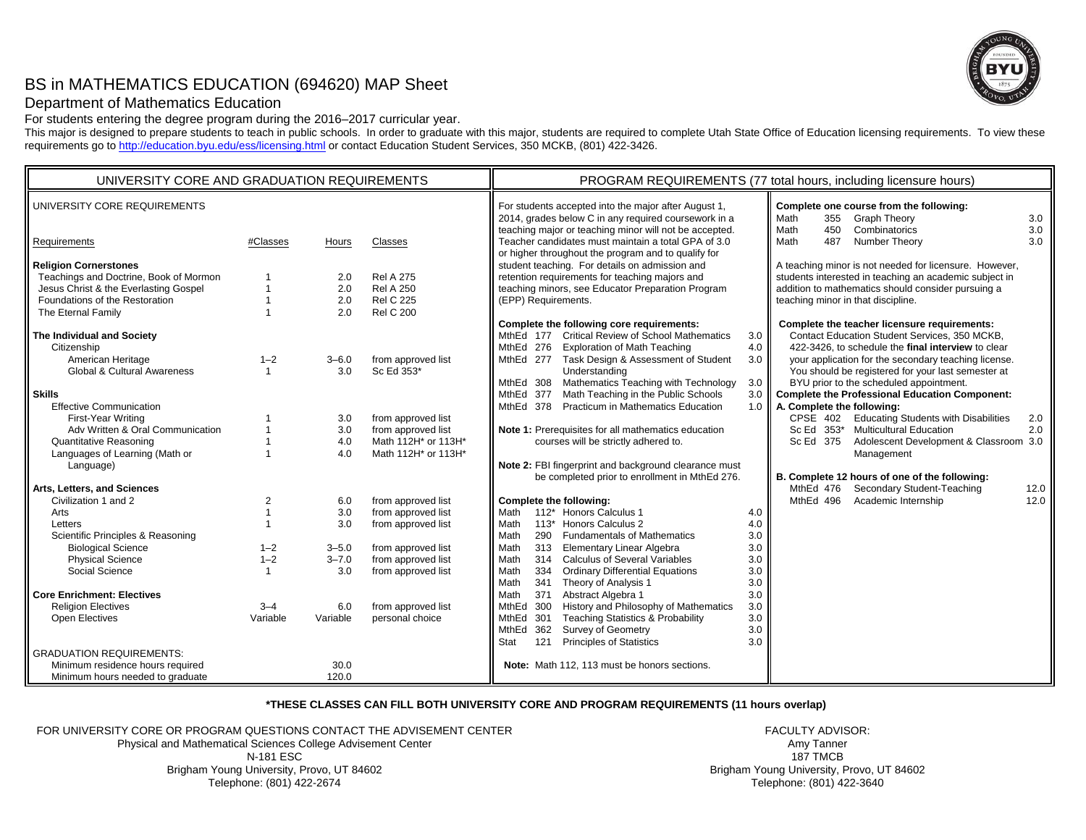# BS in MATHEMATICS EDUCATION (694620) MAP Sheet



# Department of Mathematics Education

For students entering the degree program during the 2016–2017 curricular year.

This major is designed to prepare students to teach in public schools. In order to graduate with this major, students are required to complete Utah State Office of Education licensing requirements. To view these requirements go to http://education.byu.edu/ess/licensing.html or contact Education Student Services, 350 MCKB, (801) 422-3426.

| UNIVERSITY CORE AND GRADUATION REQUIREMENTS                                                                                                                                                                              |                                                      |                                                    |                                                                                                                                  | PROGRAM REQUIREMENTS (77 total hours, including licensure hours)                                                                                                                                                                                                                                                                                                                                                                                                                                                                                                                                                                                                                                                                                                                                                           |  |  |  |
|--------------------------------------------------------------------------------------------------------------------------------------------------------------------------------------------------------------------------|------------------------------------------------------|----------------------------------------------------|----------------------------------------------------------------------------------------------------------------------------------|----------------------------------------------------------------------------------------------------------------------------------------------------------------------------------------------------------------------------------------------------------------------------------------------------------------------------------------------------------------------------------------------------------------------------------------------------------------------------------------------------------------------------------------------------------------------------------------------------------------------------------------------------------------------------------------------------------------------------------------------------------------------------------------------------------------------------|--|--|--|
| UNIVERSITY CORE REQUIREMENTS                                                                                                                                                                                             |                                                      |                                                    |                                                                                                                                  | For students accepted into the major after August 1,<br>Complete one course from the following:<br>2014, grades below C in any required coursework in a<br><b>Graph Theory</b><br>3.0<br>355<br>Math<br>teaching major or teaching minor will not be accepted.<br>450<br>Combinatorics<br>3.0<br>Math                                                                                                                                                                                                                                                                                                                                                                                                                                                                                                                      |  |  |  |
| Requirements                                                                                                                                                                                                             | #Classes                                             | Hours                                              | Classes                                                                                                                          | Teacher candidates must maintain a total GPA of 3.0<br>3.0<br>Math<br>487<br>Number Theory                                                                                                                                                                                                                                                                                                                                                                                                                                                                                                                                                                                                                                                                                                                                 |  |  |  |
| <b>Religion Cornerstones</b><br>Teachings and Doctrine, Book of Mormon<br>Jesus Christ & the Everlasting Gospel<br>Foundations of the Restoration<br>The Eternal Family<br>The Individual and Society<br>Citizenship     | $\mathbf{1}$                                         | 2.0<br>2.0<br>2.0<br>2.0                           | <b>Rel A 275</b><br><b>Rel A 250</b><br><b>Rel C 225</b><br><b>Rel C 200</b>                                                     | or higher throughout the program and to qualify for<br>student teaching. For details on admission and<br>A teaching minor is not needed for licensure. However,<br>retention requirements for teaching majors and<br>students interested in teaching an academic subject in<br>teaching minors, see Educator Preparation Program<br>addition to mathematics should consider pursuing a<br>(EPP) Requirements.<br>teaching minor in that discipline.<br>Complete the following core requirements:<br>Complete the teacher licensure requirements:<br>MthEd 177 Critical Review of School Mathematics<br>Contact Education Student Services, 350 MCKB,<br>3.0<br>MthEd 276 Exploration of Math Teaching<br>4.0<br>422-3426, to schedule the final interview to clear                                                         |  |  |  |
| American Heritage<br><b>Global &amp; Cultural Awareness</b>                                                                                                                                                              | $1 - 2$<br>$\overline{1}$                            | $3 - 6.0$<br>3.0                                   | from approved list<br>Sc Ed 353*                                                                                                 | MthEd 277 Task Design & Assessment of Student<br>3.0<br>your application for the secondary teaching license.<br>Understanding<br>You should be registered for your last semester at                                                                                                                                                                                                                                                                                                                                                                                                                                                                                                                                                                                                                                        |  |  |  |
| <b>Skills</b><br><b>Effective Communication</b><br>First-Year Writing<br>Adv Written & Oral Communication<br><b>Quantitative Reasoning</b><br>Languages of Learning (Math or<br>Language)<br>Arts, Letters, and Sciences |                                                      | 3.0<br>3.0<br>4.0<br>4.0                           | from approved list<br>from approved list<br>Math 112H* or 113H*<br>Math 112H* or 113H*                                           | MthEd 308 Mathematics Teaching with Technology<br>BYU prior to the scheduled appointment.<br>3.0<br>Math Teaching in the Public Schools<br>MthEd 377<br><b>Complete the Professional Education Component:</b><br>3.0<br>MthEd 378<br><b>Practicum in Mathematics Education</b><br>1.0 $\blacksquare$<br>A. Complete the following:<br>CPSE 402 Educating Students with Disabilities<br>2.0<br>Note 1: Prerequisites for all mathematics education<br>Sc Ed 353* Multicultural Education<br>2.0<br>Sc Ed 375<br>Adolescent Development & Classroom 3.0<br>courses will be strictly adhered to.<br>Management<br>Note 2: FBI fingerprint and background clearance must<br>be completed prior to enrollment in MthEd 276.<br>B. Complete 12 hours of one of the following:<br>Secondary Student-Teaching<br>MthEd 476<br>12.0 |  |  |  |
| Civilization 1 and 2<br>Arts<br>Letters<br>Scientific Principles & Reasoning<br><b>Biological Science</b><br><b>Physical Science</b><br>Social Science                                                                   | $\overline{2}$<br>$1 - 2$<br>$1 - 2$<br>$\mathbf{1}$ | 6.0<br>3.0<br>3.0<br>$3 - 5.0$<br>$3 - 7.0$<br>3.0 | from approved list<br>from approved list<br>from approved list<br>from approved list<br>from approved list<br>from approved list | MthEd 496<br>Academic Internship<br>12.0<br>Complete the following:<br>112* Honors Calculus 1<br>Math<br>4.0<br>Honors Calculus 2<br>Math<br>$113*$<br>4.0<br>Math<br>3.0<br>290<br><b>Fundamentals of Mathematics</b><br>3.0<br>Math<br>313 Elementary Linear Algebra<br>314 Calculus of Several Variables<br>Math<br>3.0<br><b>Ordinary Differential Equations</b><br>Math<br>334<br>3.0<br>Math<br>341 Theory of Analysis 1<br>3.0                                                                                                                                                                                                                                                                                                                                                                                      |  |  |  |
| <b>Core Enrichment: Electives</b><br><b>Religion Electives</b><br>Open Electives<br><b>GRADUATION REQUIREMENTS:</b><br>Minimum residence hours required<br>Minimum hours needed to graduate                              | $3 - 4$<br>Variable                                  | 6.0<br>Variable<br>30.0<br>120.0                   | from approved list<br>personal choice                                                                                            | Math<br>371<br>Abstract Algebra 1<br>3.0<br>MthEd<br>300<br>History and Philosophy of Mathematics<br>3.0<br><b>Teaching Statistics &amp; Probability</b><br>MthEd 301<br>3.0<br><b>Survey of Geometry</b><br>MthEd 362<br>3.0<br><b>Principles of Statistics</b><br>3.0<br>Stat<br>121<br>Note: Math 112, 113 must be honors sections.                                                                                                                                                                                                                                                                                                                                                                                                                                                                                     |  |  |  |

# **\*THESE CLASSES CAN FILL BOTH UNIVERSITY CORE AND PROGRAM REQUIREMENTS (11 hours overlap)**

FOR UNIVERSITY CORE OR PROGRAM QUESTIONS CONTACT THE ADVISEMENT CENTERPhysical and Mathematical Sciences College Advisement Center N-181 ESC Brigham Young University, Provo, UT 84602 Telephone: (801) 422-2674

FACULTY ADVISOR:Amy Tanner 187 TMCB Brigham Young University, Provo, UT 84602 Telephone: (801) 422-3640